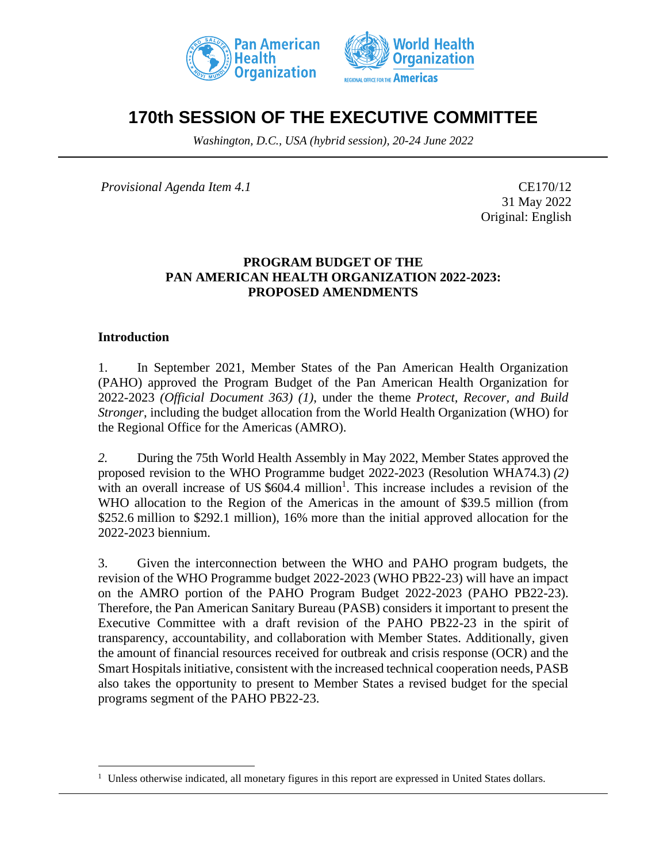



# **170th SESSION OF THE EXECUTIVE COMMITTEE**

*Washington, D.C., USA (hybrid session), 20-24 June 2022*

*Provisional Agenda Item 4.1* CE170/12

31 May 2022 Original: English

## **PROGRAM BUDGET OF THE PAN AMERICAN HEALTH ORGANIZATION 2022-2023: PROPOSED AMENDMENTS**

#### **Introduction**

1. In September 2021, Member States of the Pan American Health Organization (PAHO) approved the Program Budget of the Pan American Health Organization for 2022-2023 *(Official Document 363) (1)*, under the theme *Protect, Recover, and Build Stronger*, including the budget allocation from the World Health Organization (WHO) for the Regional Office for the Americas (AMRO).

*2.* During the 75th World Health Assembly in May 2022, Member States approved the proposed revision to the WHO Programme budget 2022-2023 (Resolution WHA74.3) *(2)* with an overall increase of US  $$604.4$  million<sup>1</sup>. This increase includes a revision of the WHO allocation to the Region of the Americas in the amount of \$39.5 million (from \$252.6 million to \$292.1 million), 16% more than the initial approved allocation for the 2022-2023 biennium.

3. Given the interconnection between the WHO and PAHO program budgets, the revision of the WHO Programme budget 2022-2023 (WHO PB22-23) will have an impact on the AMRO portion of the PAHO Program Budget 2022-2023 (PAHO PB22-23). Therefore, the Pan American Sanitary Bureau (PASB) considers it important to present the Executive Committee with a draft revision of the PAHO PB22-23 in the spirit of transparency, accountability, and collaboration with Member States. Additionally, given the amount of financial resources received for outbreak and crisis response (OCR) and the Smart Hospitals initiative, consistent with the increased technical cooperation needs, PASB also takes the opportunity to present to Member States a revised budget for the special programs segment of the PAHO PB22-23.

<sup>&</sup>lt;sup>1</sup> Unless otherwise indicated, all monetary figures in this report are expressed in United States dollars.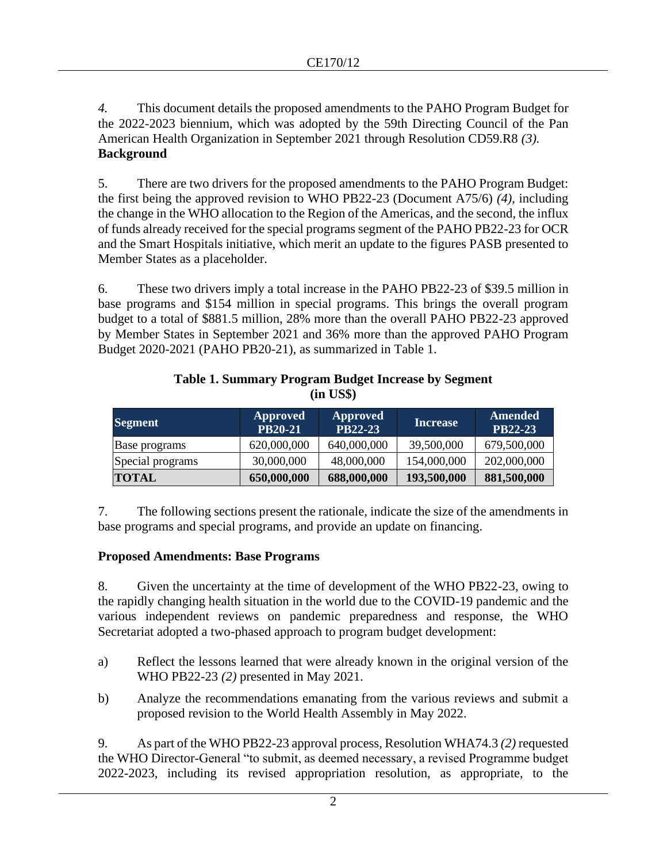*4.* This document details the proposed amendments to the PAHO Program Budget for the 2022-2023 biennium, which was adopted by the 59th Directing Council of the Pan American Health Organization in September 2021 through Resolution CD59.R8 *(3).* **Background**

5. There are two drivers for the proposed amendments to the PAHO Program Budget: the first being the approved revision to WHO PB22-23 (Document A75/6) *(4)*, including the change in the WHO allocation to the Region of the Americas, and the second, the influx of funds already received for the special programs segment of the PAHO PB22-23 for OCR and the Smart Hospitals initiative, which merit an update to the figures PASB presented to Member States as a placeholder.

6. These two drivers imply a total increase in the PAHO PB22-23 of \$39.5 million in base programs and \$154 million in special programs. This brings the overall program budget to a total of \$881.5 million, 28% more than the overall PAHO PB22-23 approved by Member States in September 2021 and 36% more than the approved PAHO Program Budget 2020-2021 (PAHO PB20-21), as summarized in Table 1.

| <b>Segment</b>   | Approved<br><b>PB20-21</b> | <b>Approved</b><br>PB22-23 | <b>Increase</b> | Amended<br>PB22-23 |
|------------------|----------------------------|----------------------------|-----------------|--------------------|
| Base programs    | 620,000,000                | 640,000,000                | 39,500,000      | 679,500,000        |
| Special programs | 30,000,000                 | 48,000,000                 | 154,000,000     | 202,000,000        |
| <b>TOTAL</b>     | 650,000,000                | 688,000,000                | 193,500,000     | 881,500,000        |

# **Table 1. Summary Program Budget Increase by Segment (in US\$)**

7. The following sections present the rationale, indicate the size of the amendments in base programs and special programs, and provide an update on financing.

# **Proposed Amendments: Base Programs**

8. Given the uncertainty at the time of development of the WHO PB22-23, owing to the rapidly changing health situation in the world due to the COVID-19 pandemic and the various independent reviews on pandemic preparedness and response, the WHO Secretariat adopted a two-phased approach to program budget development:

- a) Reflect the lessons learned that were already known in the original version of the WHO PB22-23 *(2)* presented in May 2021.
- b) Analyze the recommendations emanating from the various reviews and submit a proposed revision to the World Health Assembly in May 2022.

9. As part of the WHO PB22-23 approval process, Resolution WHA74.3 *(2)* requested the WHO Director-General "to submit, as deemed necessary, a revised Programme budget 2022-2023, including its revised appropriation resolution, as appropriate, to the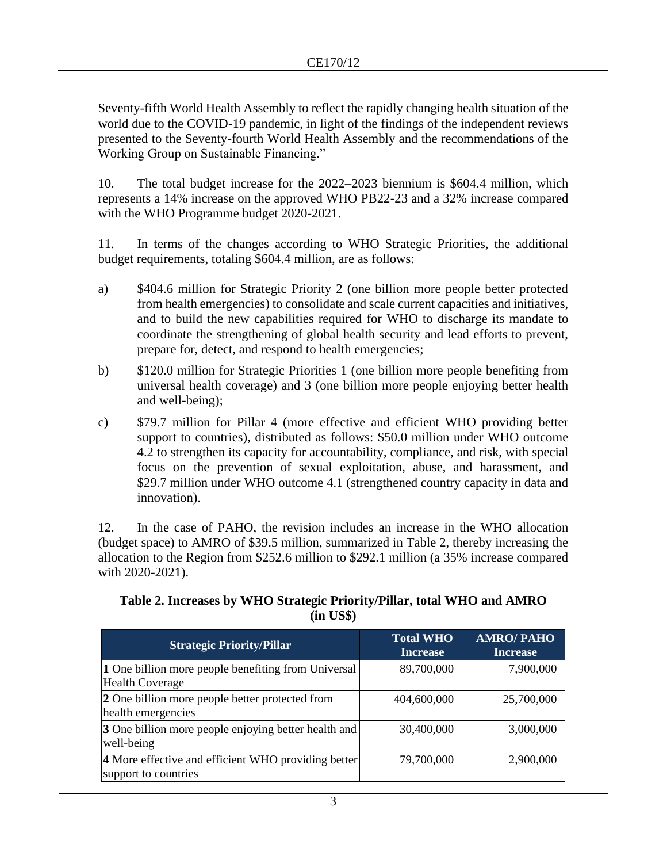Seventy-fifth World Health Assembly to reflect the rapidly changing health situation of the world due to the COVID-19 pandemic, in light of the findings of the independent reviews presented to the Seventy-fourth World Health Assembly and the recommendations of the Working Group on Sustainable Financing."

10. The total budget increase for the 2022–2023 biennium is \$604.4 million, which represents a 14% increase on the approved WHO PB22-23 and a 32% increase compared with the WHO Programme budget 2020-2021.

11. In terms of the changes according to WHO Strategic Priorities, the additional budget requirements, totaling \$604.4 million, are as follows:

- a) \$404.6 million for Strategic Priority 2 (one billion more people better protected from health emergencies) to consolidate and scale current capacities and initiatives, and to build the new capabilities required for WHO to discharge its mandate to coordinate the strengthening of global health security and lead efforts to prevent, prepare for, detect, and respond to health emergencies;
- b) \$120.0 million for Strategic Priorities 1 (one billion more people benefiting from universal health coverage) and 3 (one billion more people enjoying better health and well-being);
- c) \$79.7 million for Pillar 4 (more effective and efficient WHO providing better support to countries), distributed as follows: \$50.0 million under WHO outcome 4.2 to strengthen its capacity for accountability, compliance, and risk, with special focus on the prevention of sexual exploitation, abuse, and harassment, and \$29.7 million under WHO outcome 4.1 (strengthened country capacity in data and innovation).

12. In the case of PAHO, the revision includes an increase in the WHO allocation (budget space) to AMRO of \$39.5 million, summarized in Table 2, thereby increasing the allocation to the Region from \$252.6 million to \$292.1 million (a 35% increase compared with 2020-2021).

| <b>Strategic Priority/Pillar</b>                                              | <b>Total WHO</b><br><b>Increase</b> | <b>AMRO/PAHO</b><br><b>Increase</b> |
|-------------------------------------------------------------------------------|-------------------------------------|-------------------------------------|
| 1 One billion more people benefiting from Universal<br><b>Health Coverage</b> | 89,700,000                          | 7,900,000                           |
| 2 One billion more people better protected from<br>health emergencies         | 404,600,000                         | 25,700,000                          |
| 3 One billion more people enjoying better health and<br>well-being            | 30,400,000                          | 3,000,000                           |
| 4 More effective and efficient WHO providing better<br>support to countries   | 79,700,000                          | 2,900,000                           |

## **Table 2. Increases by WHO Strategic Priority/Pillar, total WHO and AMRO (in US\$)**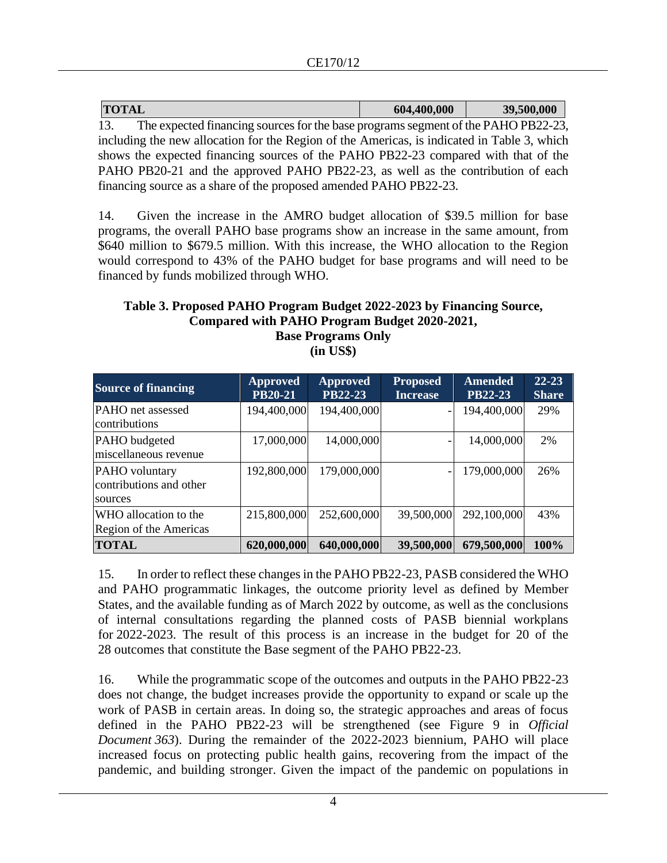| <b>TOTAL</b>                                                                                | 604,400,000 | 39,500,000 |
|---------------------------------------------------------------------------------------------|-------------|------------|
| The expected financing sources for the base programs segment of the PAHO PB22-23,<br>13.    |             |            |
| including the new allocation for the Region of the Americas, is indicated in Table 3, which |             |            |
| shows the expected financing sources of the PAHO PB22-23 compared with that of the          |             |            |
| PAHO PB20-21 and the approved PAHO PB22-23, as well as the contribution of each             |             |            |
| financing source as a share of the proposed amended PAHO PB22-23.                           |             |            |

14. Given the increase in the AMRO budget allocation of \$39.5 million for base programs, the overall PAHO base programs show an increase in the same amount, from \$640 million to \$679.5 million. With this increase, the WHO allocation to the Region would correspond to 43% of the PAHO budget for base programs and will need to be financed by funds mobilized through WHO.

#### **Table 3. Proposed PAHO Program Budget 2022-2023 by Financing Source, Compared with PAHO Program Budget 2020-2021, Base Programs Only**

**(in US\$)**

| <b>Source of financing</b>                           | <b>Approved</b><br><b>PB20-21</b> | <b>Approved</b><br>PB22-23 | <b>Proposed</b><br><b>Increase</b> | <b>Amended</b><br>PB22-23 | $22 - 23$<br><b>Share</b> |
|------------------------------------------------------|-----------------------------------|----------------------------|------------------------------------|---------------------------|---------------------------|
| <b>PAHO</b> net assessed<br>contributions            | 194,400,000                       | 194,400,000                |                                    | 194,400,000               | 29%                       |
| PAHO budgeted<br>miscellaneous revenue               | 17,000,000                        | 14,000,000                 |                                    | 14,000,000                | 2%                        |
| PAHO voluntary<br>contributions and other<br>sources | 192,800,000                       | 179,000,000                |                                    | 179,000,000               | 26%                       |
| WHO allocation to the<br>Region of the Americas      | 215,800,000                       | 252,600,000                | 39,500,000                         | 292,100,000               | 43%                       |
| <b>TOTAL</b>                                         | 620,000,000                       | 640,000,000                | 39,500,000                         | 679,500,000               | 100%                      |

15. In order to reflect these changes in the PAHO PB22-23, PASB considered the WHO and PAHO programmatic linkages, the outcome priority level as defined by Member States, and the available funding as of March 2022 by outcome, as well as the conclusions of internal consultations regarding the planned costs of PASB biennial workplans for 2022-2023. The result of this process is an increase in the budget for 20 of the 28 outcomes that constitute the Base segment of the PAHO PB22-23.

16. While the programmatic scope of the outcomes and outputs in the PAHO PB22-23 does not change, the budget increases provide the opportunity to expand or scale up the work of PASB in certain areas. In doing so, the strategic approaches and areas of focus defined in the PAHO PB22-23 will be strengthened (see Figure 9 in *Official Document 363*). During the remainder of the 2022-2023 biennium, PAHO will place increased focus on protecting public health gains, recovering from the impact of the pandemic, and building stronger. Given the impact of the pandemic on populations in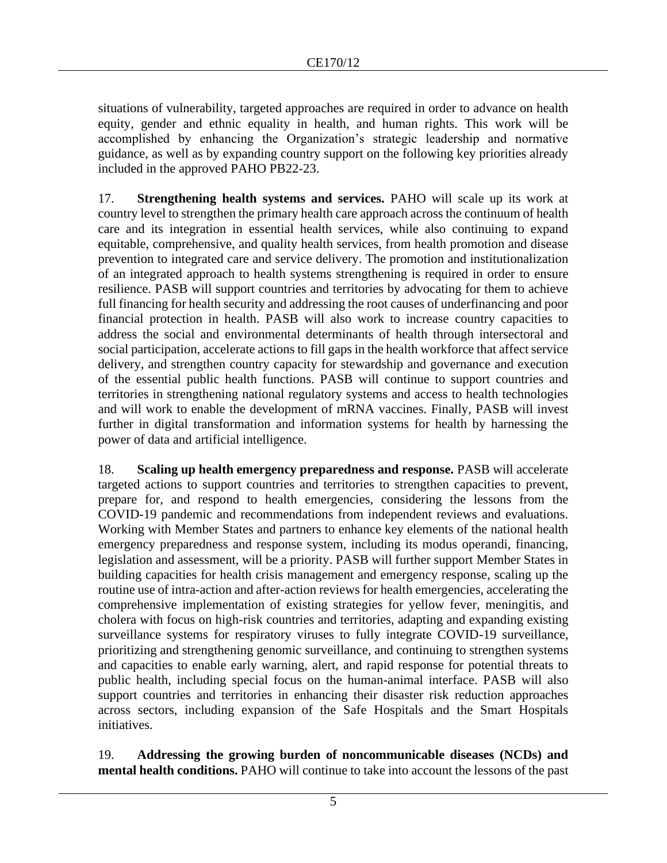situations of vulnerability, targeted approaches are required in order to advance on health equity, gender and ethnic equality in health, and human rights. This work will be accomplished by enhancing the Organization's strategic leadership and normative guidance, as well as by expanding country support on the following key priorities already included in the approved PAHO PB22-23.

17. **Strengthening health systems and services.** PAHO will scale up its work at country level to strengthen the primary health care approach across the continuum of health care and its integration in essential health services, while also continuing to expand equitable, comprehensive, and quality health services, from health promotion and disease prevention to integrated care and service delivery. The promotion and institutionalization of an integrated approach to health systems strengthening is required in order to ensure resilience. PASB will support countries and territories by advocating for them to achieve full financing for health security and addressing the root causes of underfinancing and poor financial protection in health. PASB will also work to increase country capacities to address the social and environmental determinants of health through intersectoral and social participation, accelerate actions to fill gaps in the health workforce that affect service delivery, and strengthen country capacity for stewardship and governance and execution of the essential public health functions. PASB will continue to support countries and territories in strengthening national regulatory systems and access to health technologies and will work to enable the development of mRNA vaccines. Finally, PASB will invest further in digital transformation and information systems for health by harnessing the power of data and artificial intelligence.

18. **Scaling up health emergency preparedness and response.** PASB will accelerate targeted actions to support countries and territories to strengthen capacities to prevent, prepare for, and respond to health emergencies, considering the lessons from the COVID-19 pandemic and recommendations from independent reviews and evaluations. Working with Member States and partners to enhance key elements of the national health emergency preparedness and response system, including its modus operandi, financing, legislation and assessment, will be a priority. PASB will further support Member States in building capacities for health crisis management and emergency response, scaling up the routine use of intra-action and after-action reviews for health emergencies, accelerating the comprehensive implementation of existing strategies for yellow fever, meningitis, and cholera with focus on high-risk countries and territories, adapting and expanding existing surveillance systems for respiratory viruses to fully integrate COVID-19 surveillance, prioritizing and strengthening genomic surveillance, and continuing to strengthen systems and capacities to enable early warning, alert, and rapid response for potential threats to public health, including special focus on the human-animal interface. PASB will also support countries and territories in enhancing their disaster risk reduction approaches across sectors, including expansion of the Safe Hospitals and the Smart Hospitals initiatives.

19. **Addressing the growing burden of noncommunicable diseases (NCDs) and mental health conditions.** PAHO will continue to take into account the lessons of the past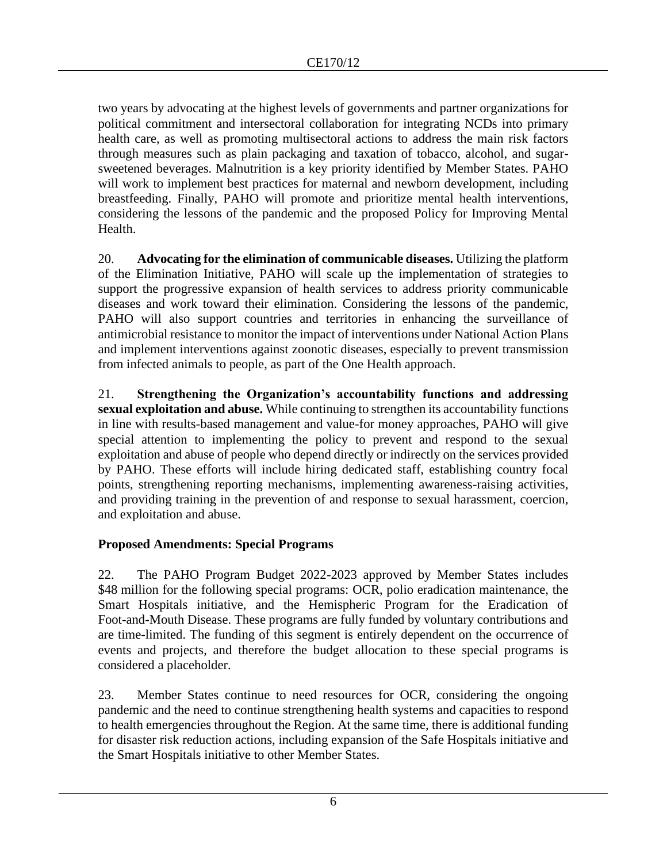two years by advocating at the highest levels of governments and partner organizations for political commitment and intersectoral collaboration for integrating NCDs into primary health care, as well as promoting multisectoral actions to address the main risk factors through measures such as plain packaging and taxation of tobacco, alcohol, and sugarsweetened beverages. Malnutrition is a key priority identified by Member States. PAHO will work to implement best practices for maternal and newborn development, including breastfeeding. Finally, PAHO will promote and prioritize mental health interventions, considering the lessons of the pandemic and the proposed Policy for Improving Mental Health.

20. **Advocating for the elimination of communicable diseases.** Utilizing the platform of the Elimination Initiative, PAHO will scale up the implementation of strategies to support the progressive expansion of health services to address priority communicable diseases and work toward their elimination. Considering the lessons of the pandemic, PAHO will also support countries and territories in enhancing the surveillance of antimicrobial resistance to monitor the impact of interventions under National Action Plans and implement interventions against zoonotic diseases, especially to prevent transmission from infected animals to people, as part of the One Health approach.

21. **Strengthening the Organization's accountability functions and addressing sexual exploitation and abuse.** While continuing to strengthen its accountability functions in line with results-based management and value-for money approaches, PAHO will give special attention to implementing the policy to prevent and respond to the sexual exploitation and abuse of people who depend directly or indirectly on the services provided by PAHO. These efforts will include hiring dedicated staff, establishing country focal points, strengthening reporting mechanisms, implementing awareness-raising activities, and providing training in the prevention of and response to sexual harassment, coercion, and exploitation and abuse.

# **Proposed Amendments: Special Programs**

22. The PAHO Program Budget 2022-2023 approved by Member States includes \$48 million for the following special programs: OCR, polio eradication maintenance, the Smart Hospitals initiative, and the Hemispheric Program for the Eradication of Foot-and-Mouth Disease. These programs are fully funded by voluntary contributions and are time-limited. The funding of this segment is entirely dependent on the occurrence of events and projects, and therefore the budget allocation to these special programs is considered a placeholder.

23. Member States continue to need resources for OCR, considering the ongoing pandemic and the need to continue strengthening health systems and capacities to respond to health emergencies throughout the Region. At the same time, there is additional funding for disaster risk reduction actions, including expansion of the Safe Hospitals initiative and the Smart Hospitals initiative to other Member States.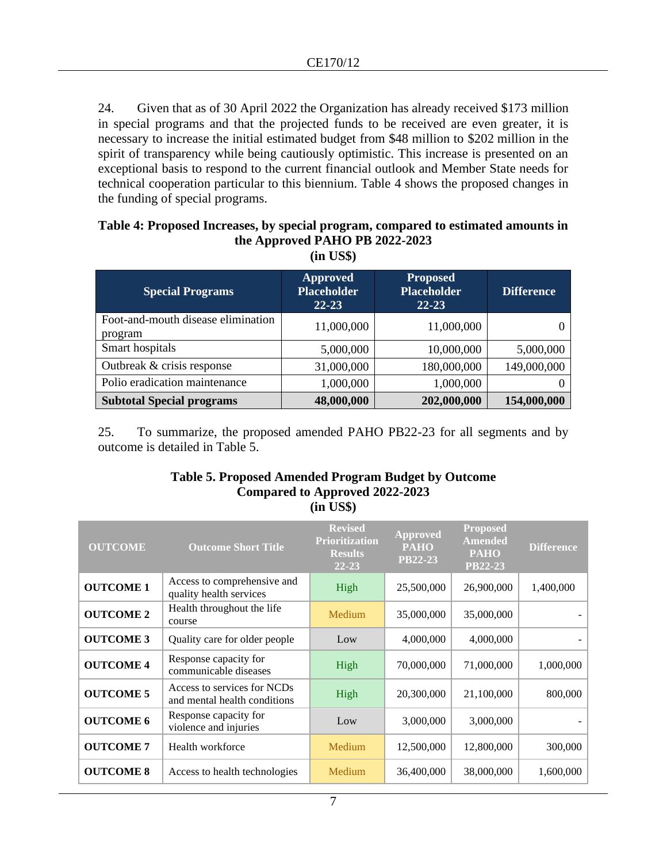24. Given that as of 30 April 2022 the Organization has already received \$173 million in special programs and that the projected funds to be received are even greater, it is necessary to increase the initial estimated budget from \$48 million to \$202 million in the spirit of transparency while being cautiously optimistic. This increase is presented on an exceptional basis to respond to the current financial outlook and Member State needs for technical cooperation particular to this biennium. Table 4 shows the proposed changes in the funding of special programs.

#### **Table 4: Proposed Increases, by special program, compared to estimated amounts in the Approved PAHO PB 2022-2023 (in US\$)**

| <b>Special Programs</b>                       | <b>Approved</b><br><b>Placeholder</b><br>$22 - 23$ | <b>Proposed</b><br><b>Placeholder</b><br>$22 - 23$ | <b>Difference</b> |
|-----------------------------------------------|----------------------------------------------------|----------------------------------------------------|-------------------|
| Foot-and-mouth disease elimination<br>program | 11,000,000                                         | 11,000,000                                         |                   |
| Smart hospitals                               | 5,000,000                                          | 10,000,000                                         | 5,000,000         |
| Outbreak & crisis response                    | 31,000,000                                         | 180,000,000                                        | 149,000,000       |
| Polio eradication maintenance                 | 1,000,000                                          | 1,000,000                                          |                   |
| <b>Subtotal Special programs</b>              | 48,000,000                                         | 202,000,000                                        | 154,000,000       |

25. To summarize, the proposed amended PAHO PB22-23 for all segments and by outcome is detailed in Table 5.**c**

#### **Table 5. Proposed Amended Program Budget by Outcome Compared to Approved 2022-2023 (in US\$)**

| <b>OUTCOME</b>   | <b>Outcome Short Title</b>                                  | <b>Revised</b><br><b>Prioritization</b><br><b>Results</b><br>$22 - 23$ | Approved<br><b>PAHO</b><br><b>PB22-23</b> | <b>Proposed</b><br><b>Amended</b><br><b>PAHO</b><br><b>PB22-23</b> | <b>Difference</b> |
|------------------|-------------------------------------------------------------|------------------------------------------------------------------------|-------------------------------------------|--------------------------------------------------------------------|-------------------|
| <b>OUTCOME 1</b> | Access to comprehensive and<br>quality health services      | High                                                                   | 25,500,000                                | 26,900,000                                                         | 1,400,000         |
| <b>OUTCOME 2</b> | Health throughout the life<br>course                        | Medium                                                                 | 35,000,000                                | 35,000,000                                                         |                   |
| <b>OUTCOME 3</b> | Quality care for older people                               | Low                                                                    | 4,000,000                                 | 4,000,000                                                          |                   |
| <b>OUTCOME 4</b> | Response capacity for<br>communicable diseases              | High                                                                   | 70,000,000                                | 71,000,000                                                         | 1,000,000         |
| <b>OUTCOME 5</b> | Access to services for NCDs<br>and mental health conditions | High                                                                   | 20,300,000                                | 21,100,000                                                         | 800,000           |
| <b>OUTCOME 6</b> | Response capacity for<br>violence and injuries              | Low                                                                    | 3,000,000                                 | 3,000,000                                                          |                   |
| <b>OUTCOME 7</b> | Health workforce                                            | Medium                                                                 | 12,500,000                                | 12,800,000                                                         | 300,000           |
| <b>OUTCOME 8</b> | Access to health technologies                               | Medium                                                                 | 36,400,000                                | 38,000,000                                                         | 1,600,000         |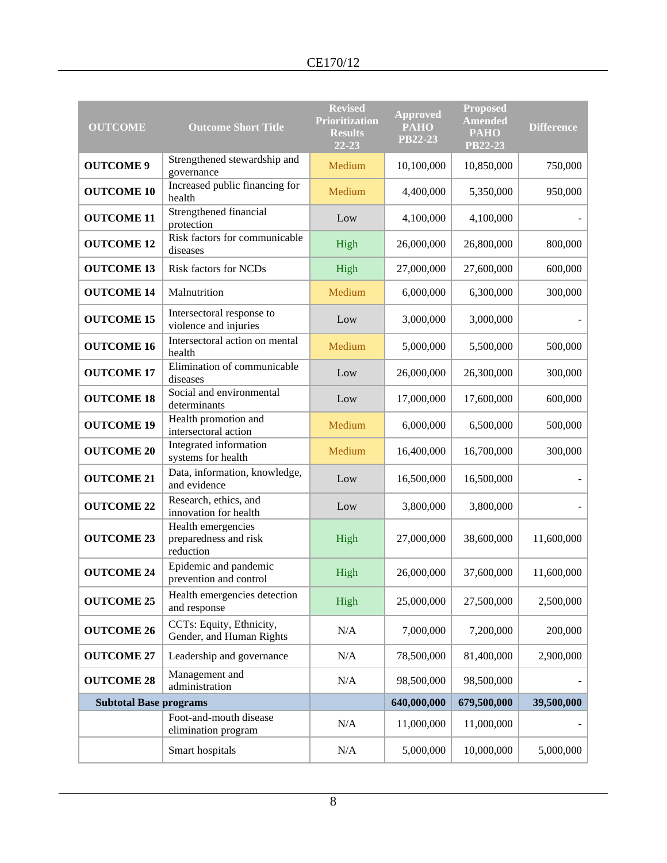| <b>OUTCOME</b>                | <b>Outcome Short Title</b>                               | <b>Revised</b><br><b>Prioritization</b><br><b>Results</b><br>22-23 | <b>Approved</b><br><b>PAHO</b><br><b>PB22-23</b> | <b>Proposed</b><br><b>Amended</b><br><b>PAHO</b><br>PB22-23 | <b>Difference</b> |
|-------------------------------|----------------------------------------------------------|--------------------------------------------------------------------|--------------------------------------------------|-------------------------------------------------------------|-------------------|
| <b>OUTCOME 9</b>              | Strengthened stewardship and<br>governance               | Medium                                                             | 10,100,000                                       | 10,850,000                                                  | 750,000           |
| <b>OUTCOME 10</b>             | Increased public financing for<br>health                 | Medium                                                             | 4,400,000                                        | 5,350,000                                                   | 950,000           |
| <b>OUTCOME 11</b>             | Strengthened financial<br>protection                     | Low                                                                | 4,100,000                                        | 4,100,000                                                   |                   |
| <b>OUTCOME 12</b>             | Risk factors for communicable<br>diseases                | High                                                               | 26,000,000                                       | 26,800,000                                                  | 800,000           |
| <b>OUTCOME 13</b>             | Risk factors for NCDs                                    | High                                                               | 27,000,000                                       | 27,600,000                                                  | 600,000           |
| <b>OUTCOME 14</b>             | Malnutrition                                             | Medium                                                             | 6,000,000                                        | 6,300,000                                                   | 300,000           |
| <b>OUTCOME 15</b>             | Intersectoral response to<br>violence and injuries       | Low                                                                | 3,000,000                                        | 3,000,000                                                   |                   |
| <b>OUTCOME 16</b>             | Intersectoral action on mental<br>health                 | Medium                                                             | 5,000,000                                        | 5,500,000                                                   | 500,000           |
| <b>OUTCOME 17</b>             | Elimination of communicable<br>diseases                  | Low                                                                | 26,000,000                                       | 26,300,000                                                  | 300,000           |
| <b>OUTCOME 18</b>             | Social and environmental<br>determinants                 | Low                                                                | 17,000,000                                       | 17,600,000                                                  | 600,000           |
| <b>OUTCOME 19</b>             | Health promotion and<br>intersectoral action             | Medium                                                             | 6,000,000                                        | 6,500,000                                                   | 500,000           |
| <b>OUTCOME 20</b>             | Integrated information<br>systems for health             | Medium                                                             | 16,400,000                                       | 16,700,000                                                  | 300,000           |
| <b>OUTCOME 21</b>             | Data, information, knowledge,<br>and evidence            | Low                                                                | 16,500,000                                       | 16,500,000                                                  |                   |
| <b>OUTCOME 22</b>             | Research, ethics, and<br>innovation for health           | Low                                                                | 3,800,000                                        | 3,800,000                                                   |                   |
| <b>OUTCOME 23</b>             | Health emergencies<br>preparedness and risk<br>reduction | High                                                               | 27,000,000                                       | 38,600,000                                                  | 11,600,000        |
| <b>OUTCOME 24</b>             | Epidemic and pandemic<br>prevention and control          | High                                                               | 26,000,000                                       | 37,600,000                                                  | 11,600,000        |
| <b>OUTCOME 25</b>             | Health emergencies detection<br>and response             | High                                                               | 25,000,000                                       | 27,500,000                                                  | 2,500,000         |
| <b>OUTCOME 26</b>             | CCTs: Equity, Ethnicity,<br>Gender, and Human Rights     | N/A                                                                | 7,000,000                                        | 7,200,000                                                   | 200,000           |
| <b>OUTCOME 27</b>             | Leadership and governance                                | N/A                                                                | 78,500,000                                       | 81,400,000                                                  | 2,900,000         |
| <b>OUTCOME 28</b>             | Management and<br>administration                         | N/A                                                                | 98,500,000                                       | 98,500,000                                                  |                   |
| <b>Subtotal Base programs</b> |                                                          |                                                                    | 640,000,000                                      | 679,500,000                                                 | 39,500,000        |
|                               | Foot-and-mouth disease<br>elimination program            | N/A                                                                | 11,000,000                                       | 11,000,000                                                  |                   |
|                               | Smart hospitals                                          | N/A                                                                | 5,000,000                                        | 10,000,000                                                  | 5,000,000         |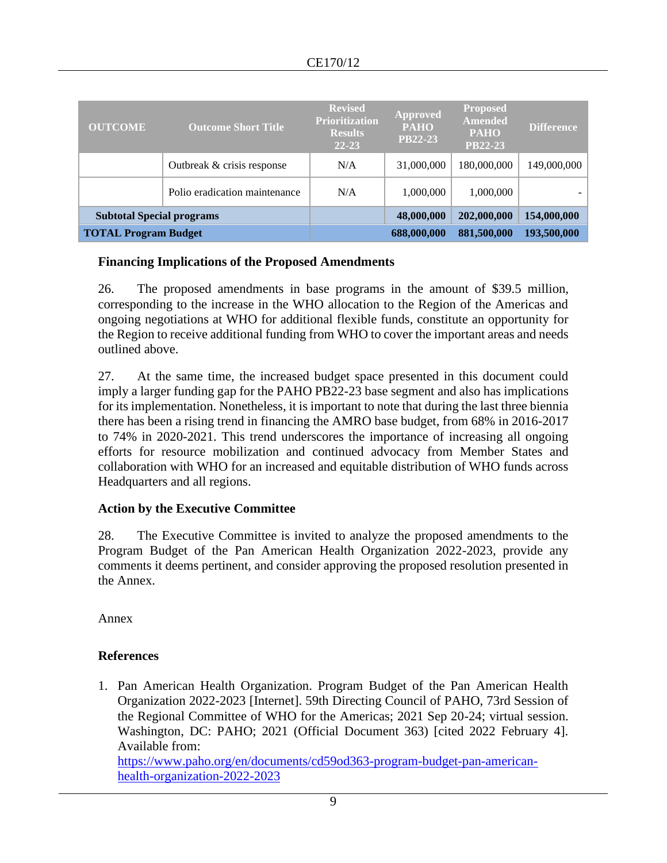| <b>OUTCOME</b>                   | <b>Outcome Short Title</b>    | <b>Revised</b><br><b>Prioritization</b><br><b>Results</b><br>$22 - 23$ | <b>Approved</b><br><b>PAHO</b><br><b>PB22-23</b> | <b>Proposed</b><br><b>Amended</b><br><b>PAHO</b><br><b>PB22-23</b> | <b>Difference</b> |
|----------------------------------|-------------------------------|------------------------------------------------------------------------|--------------------------------------------------|--------------------------------------------------------------------|-------------------|
|                                  | Outbreak & crisis response    | N/A                                                                    | 31,000,000                                       | 180,000,000                                                        | 149,000,000       |
|                                  | Polio eradication maintenance | N/A                                                                    | 1,000,000                                        | 1,000,000                                                          |                   |
| <b>Subtotal Special programs</b> |                               |                                                                        | 48,000,000                                       | 202,000,000                                                        | 154,000,000       |
| <b>TOTAL Program Budget</b>      |                               |                                                                        | 688,000,000                                      | 881,500,000                                                        | 193,500,000       |

#### **Financing Implications of the Proposed Amendments**

26. The proposed amendments in base programs in the amount of \$39.5 million, corresponding to the increase in the WHO allocation to the Region of the Americas and ongoing negotiations at WHO for additional flexible funds, constitute an opportunity for the Region to receive additional funding from WHO to cover the important areas and needs outlined above.

27. At the same time, the increased budget space presented in this document could imply a larger funding gap for the PAHO PB22-23 base segment and also has implications for its implementation. Nonetheless, it is important to note that during the last three biennia there has been a rising trend in financing the AMRO base budget, from 68% in 2016-2017 to 74% in 2020-2021. This trend underscores the importance of increasing all ongoing efforts for resource mobilization and continued advocacy from Member States and collaboration with WHO for an increased and equitable distribution of WHO funds across Headquarters and all regions.

## **Action by the Executive Committee**

28. The Executive Committee is invited to analyze the proposed amendments to the Program Budget of the Pan American Health Organization 2022-2023, provide any comments it deems pertinent, and consider approving the proposed resolution presented in the Annex.

Annex

## **References**

1. Pan American Health Organization. Program Budget of the Pan American Health Organization 2022-2023 [Internet]. 59th Directing Council of PAHO, 73rd Session of the Regional Committee of WHO for the Americas; 2021 Sep 20-24; virtual session. Washington, DC: PAHO; 2021 (Official Document 363) [cited 2022 February 4]. Available from: [https://www.paho.org/en/documents/cd59od363-program-budget-pan-american-](https://www.paho.org/en/documents/cd59od363-program-budget-pan-american-health-organization-2022-2023)

[health-organization-2022-2023](https://www.paho.org/en/documents/cd59od363-program-budget-pan-american-health-organization-2022-2023)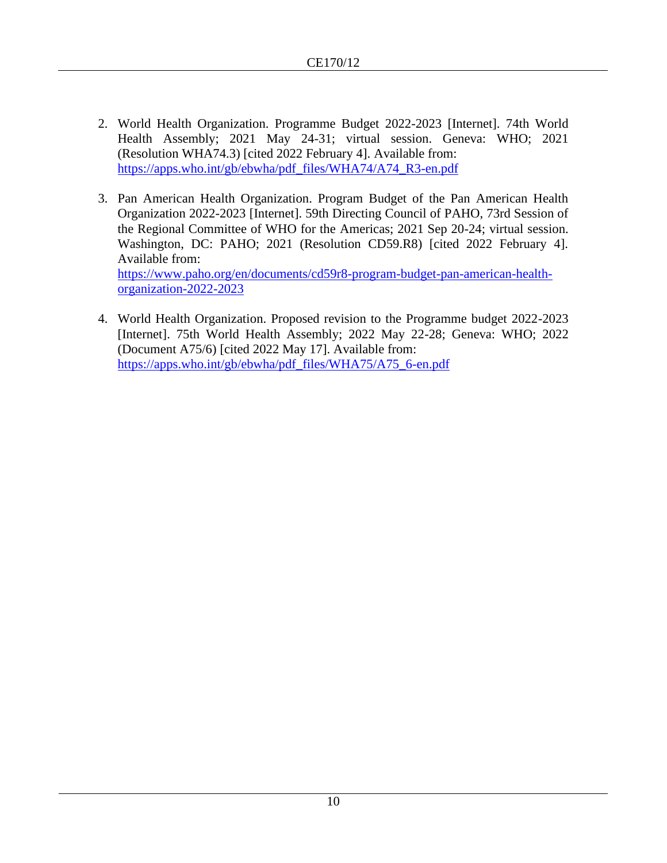- 2. World Health Organization. Programme Budget 2022-2023 [Internet]. 74th World Health Assembly; 2021 May 24-31; virtual session. Geneva: WHO; 2021 (Resolution WHA74.3) [cited 2022 February 4]. Available from: [https://apps.who.int/gb/ebwha/pdf\\_files/WHA74/A74\\_R3-en.pdf](https://apps.who.int/gb/ebwha/pdf_files/WHA74/A74_R3-en.pdf)
- 3. Pan American Health Organization. Program Budget of the Pan American Health Organization 2022-2023 [Internet]. 59th Directing Council of PAHO, 73rd Session of the Regional Committee of WHO for the Americas; 2021 Sep 20-24; virtual session. Washington, DC: PAHO; 2021 (Resolution CD59.R8) [cited 2022 February 4]. Available from: [https://www.paho.org/en/documents/cd59r8-program-budget-pan-american-health](https://www.paho.org/en/documents/cd59r8-program-budget-pan-american-health-organization-2022-2023)[organization-2022-2023](https://www.paho.org/en/documents/cd59r8-program-budget-pan-american-health-organization-2022-2023)
- 4. World Health Organization. Proposed revision to the Programme budget 2022-2023 [Internet]. 75th World Health Assembly; 2022 May 22-28; Geneva: WHO; 2022 (Document A75/6) [cited 2022 May 17]. Available from: [https://apps.who.int/gb/ebwha/pdf\\_files/WHA75/A75\\_6-en.pdf](https://apps.who.int/gb/ebwha/pdf_files/WHA75/A75_6-en.pdf)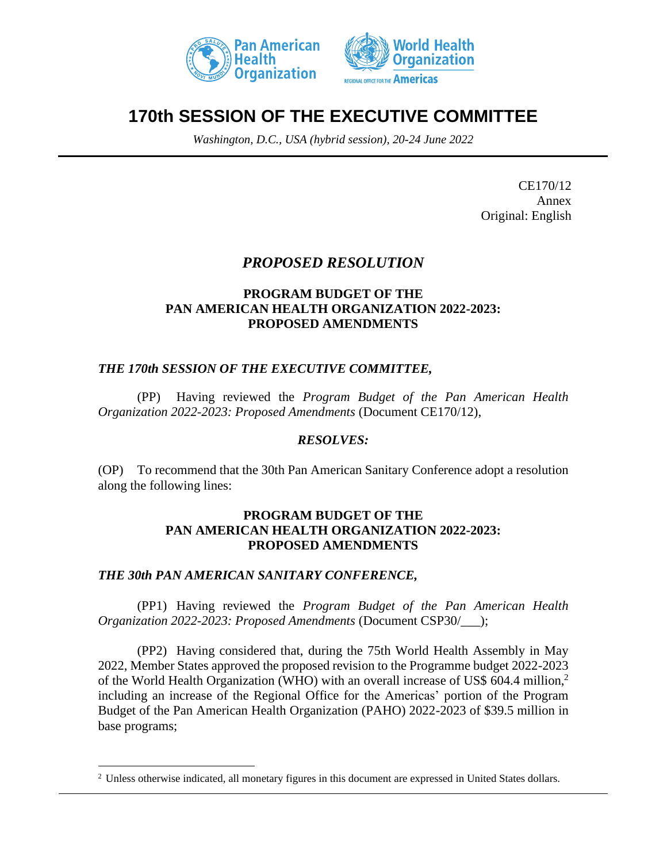



# **170th SESSION OF THE EXECUTIVE COMMITTEE**

*Washington, D.C., USA (hybrid session), 20-24 June 2022*

CE170/12 Annex Original: English

# *PROPOSED RESOLUTION*

#### **PROGRAM BUDGET OF THE PAN AMERICAN HEALTH ORGANIZATION 2022-2023: PROPOSED AMENDMENTS**

## *THE 170th SESSION OF THE EXECUTIVE COMMITTEE,*

(PP) Having reviewed the *Program Budget of the Pan American Health Organization 2022-2023: Proposed Amendments* (Document CE170/12),

## *RESOLVES:*

(OP) To recommend that the 30th Pan American Sanitary Conference adopt a resolution along the following lines:

#### **PROGRAM BUDGET OF THE PAN AMERICAN HEALTH ORGANIZATION 2022-2023: PROPOSED AMENDMENTS**

## *THE 30th PAN AMERICAN SANITARY CONFERENCE,*

(PP1) Having reviewed the *Program Budget of the Pan American Health Organization 2022-2023: Proposed Amendments* (Document CSP30/\_\_\_);

(PP2) Having considered that, during the 75th World Health Assembly in May 2022, Member States approved the proposed revision to the Programme budget 2022-2023 of the World Health Organization (WHO) with an overall increase of US\$ 604.4 million,<sup>2</sup> including an increase of the Regional Office for the Americas' portion of the Program Budget of the Pan American Health Organization (PAHO) 2022-2023 of \$39.5 million in base programs;

<sup>2</sup> Unless otherwise indicated, all monetary figures in this document are expressed in United States dollars.